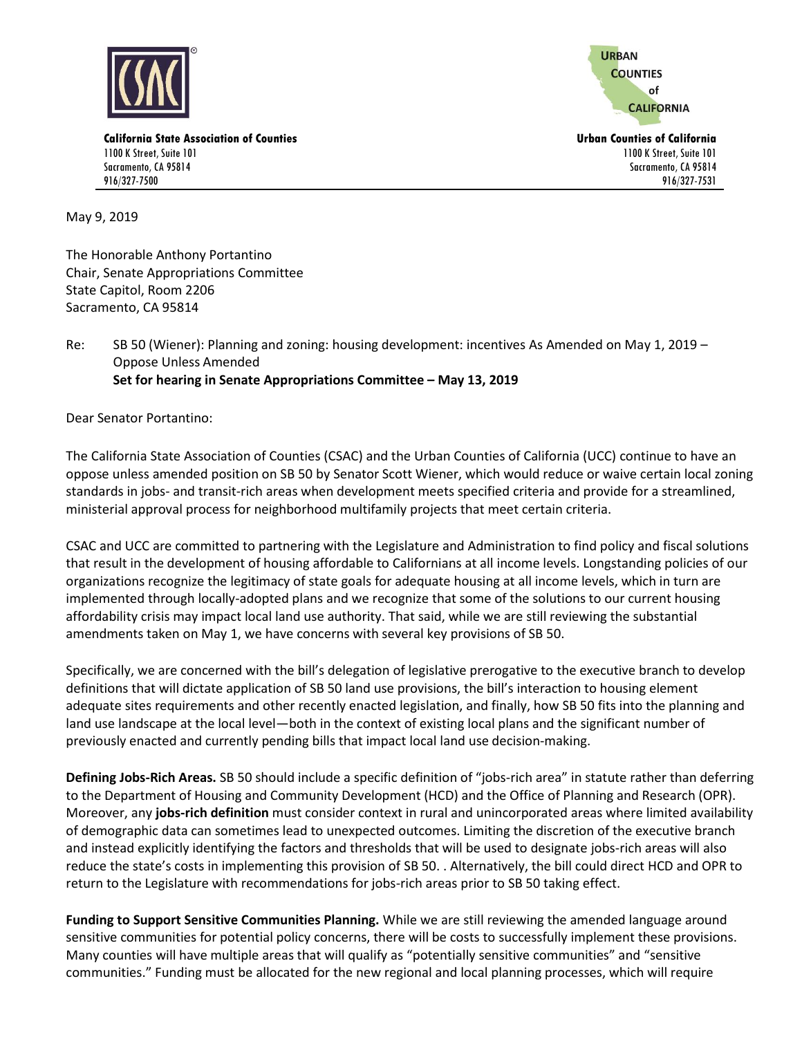

**URBAN COUNTIES** of **CALIFORNIA** 

1100 K Street, Suite 101 Sacramento, CA 95814 916/327-7531

**California State Association of Counties Urban Counties of California** 1100 K Street, Suite 101 Sacramento, CA 95814 916/327-7500

May 9, 2019

The Honorable Anthony Portantino Chair, Senate Appropriations Committee State Capitol, Room 2206 Sacramento, CA 95814

Re: SB 50 (Wiener): Planning and zoning: housing development: incentives As Amended on May 1, 2019 -Oppose Unless Amended **Set for hearing in Senate Appropriations Committee – May 13, 2019**

Dear Senator Portantino:

The California State Association of Counties (CSAC) and the Urban Counties of California (UCC) continue to have an oppose unless amended position on SB 50 by Senator Scott Wiener, which would reduce or waive certain local zoning standards in jobs- and transit-rich areas when development meets specified criteria and provide for a streamlined, ministerial approval process for neighborhood multifamily projects that meet certain criteria.

CSAC and UCC are committed to partnering with the Legislature and Administration to find policy and fiscal solutions that result in the development of housing affordable to Californians at all income levels. Longstanding policies of our organizations recognize the legitimacy of state goals for adequate housing at all income levels, which in turn are implemented through locally-adopted plans and we recognize that some of the solutions to our current housing affordability crisis may impact local land use authority. That said, while we are still reviewing the substantial amendments taken on May 1, we have concerns with several key provisions of SB 50.

Specifically, we are concerned with the bill's delegation of legislative prerogative to the executive branch to develop definitions that will dictate application of SB 50 land use provisions, the bill's interaction to housing element adequate sites requirements and other recently enacted legislation, and finally, how SB 50 fits into the planning and land use landscape at the local level—both in the context of existing local plans and the significant number of previously enacted and currently pending bills that impact local land use decision-making.

**Defining Jobs-Rich Areas.** SB 50 should include a specific definition of "jobs-rich area" in statute rather than deferring to the Department of Housing and Community Development (HCD) and the Office of Planning and Research (OPR). Moreover, any **jobs-rich definition** must consider context in rural and unincorporated areas where limited availability of demographic data can sometimes lead to unexpected outcomes. Limiting the discretion of the executive branch and instead explicitly identifying the factors and thresholds that will be used to designate jobs-rich areas will also reduce the state's costs in implementing this provision of SB 50. . Alternatively, the bill could direct HCD and OPR to return to the Legislature with recommendations for jobs-rich areas prior to SB 50 taking effect.

**Funding to Support Sensitive Communities Planning.** While we are still reviewing the amended language around sensitive communities for potential policy concerns, there will be costs to successfully implement these provisions. Many counties will have multiple areas that will qualify as "potentially sensitive communities" and "sensitive communities." Funding must be allocated for the new regional and local planning processes, which will require